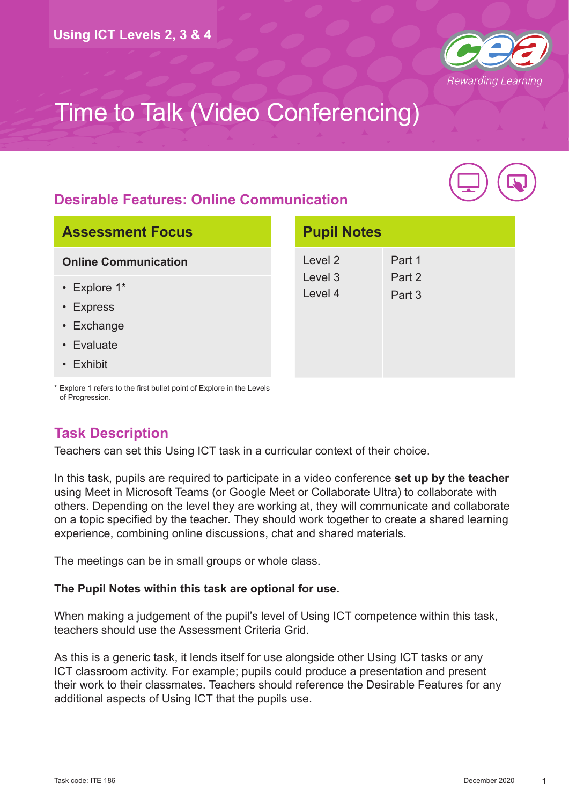

## **Desirable Features: Online Communication**



| <b>Assessment Focus</b>     |                    | <b>Pupil Notes</b> |  |
|-----------------------------|--------------------|--------------------|--|
| <b>Online Communication</b> | Level 2            | Part 1             |  |
| $\cdot$ Explore 1*          | Level 3<br>Level 4 | Part 2<br>Part 3   |  |
| • Express                   |                    |                    |  |
| • Exchange                  |                    |                    |  |
| • Evaluate                  |                    |                    |  |
| • Exhibit                   |                    |                    |  |

\* Explore 1 refers to the first bullet point of Explore in the Levels of Progression.

## **Task Description**

Teachers can set this Using ICT task in a curricular context of their choice.

In this task, pupils are required to participate in a video conference **set up by the teacher** using Meet in Microsoft Teams (or Google Meet or Collaborate Ultra) to collaborate with others. Depending on the level they are working at, they will communicate and collaborate on a topic specified by the teacher. They should work together to create a shared learning experience, combining online discussions, chat and shared materials.

The meetings can be in small groups or whole class.

#### **The Pupil Notes within this task are optional for use.**

When making a judgement of the pupil's level of Using ICT competence within this task, teachers should use the Assessment Criteria Grid.

As this is a generic task, it lends itself for use alongside other Using ICT tasks or any ICT classroom activity. For example; pupils could produce a presentation and present their work to their classmates. Teachers should reference the Desirable Features for any additional aspects of Using ICT that the pupils use.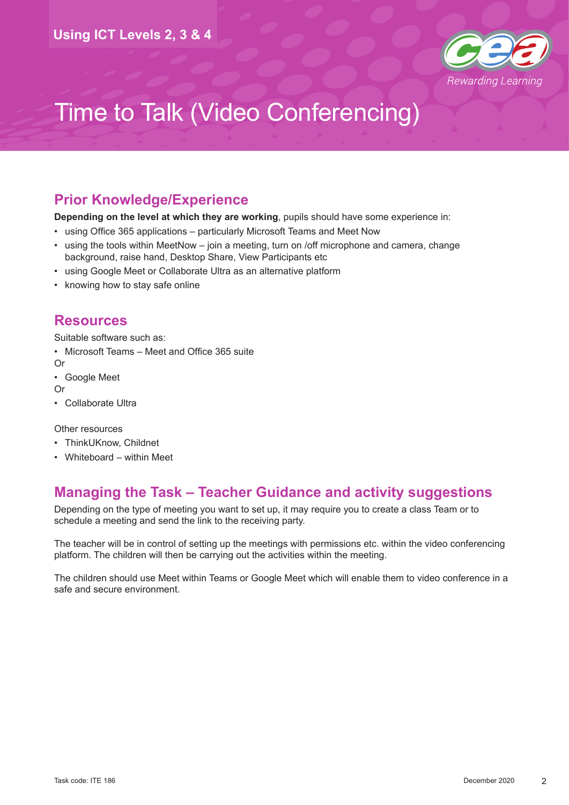

### **Prior Knowledge/Experience**

**Depending on the level at which they are working**, pupils should have some experience in:

- using Office 365 applications particularly Microsoft Teams and Meet Now
- using the tools within MeetNow join a meeting, turn on /off microphone and camera, change background, raise hand, Desktop Share, View Participants etc
- using Google Meet or Collaborate Ultra as an alternative platform
- knowing how to stay safe online

### **Resources**

Suitable software such as:

- Microsoft Teams Meet and Office 365 suite
- Or
- Google Meet

Or

• Collaborate Ultra

Other resources

- ThinkUKnow, Childnet
- Whiteboard within Meet

### **Managing the Task – Teacher Guidance and activity suggestions**

Depending on the type of meeting you want to set up, it may require you to create a class Team or to schedule a meeting and send the link to the receiving party.

The teacher will be in control of setting up the meetings with permissions etc. within the video conferencing platform. The children will then be carrying out the activities within the meeting.

The children should use Meet within Teams or Google Meet which will enable them to video conference in a safe and secure environment.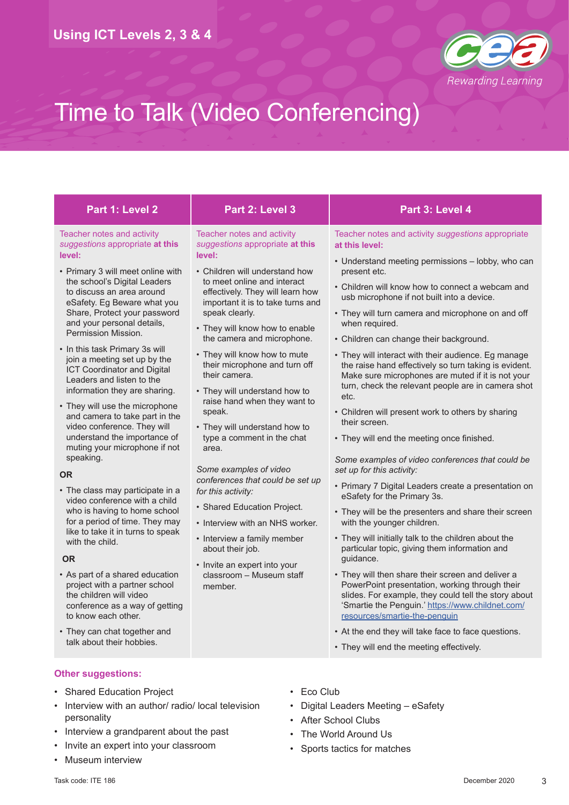

| Part 1: Level 2                                                                                                                                                                                                                                                                                                                                                                                                                                                                                                                                                                                                                                                                                                                                                                                                                                                                                                                                                                                                                                                                                    | Part 2: Level 3                                                                                                                                                                                                                                                                                                                                                                                                                                                                                                                                                                                                                                                                                                                                                                                                          | Part 3: Level 4                                                                                                                                                                                                                                                                                                                                                                                                                                                                                                                                                                                                                                                                                                                                                                                                                                                                                                                                                                                                                                                                                                                                                                                                                                                                                                                                                                                                                                                 |
|----------------------------------------------------------------------------------------------------------------------------------------------------------------------------------------------------------------------------------------------------------------------------------------------------------------------------------------------------------------------------------------------------------------------------------------------------------------------------------------------------------------------------------------------------------------------------------------------------------------------------------------------------------------------------------------------------------------------------------------------------------------------------------------------------------------------------------------------------------------------------------------------------------------------------------------------------------------------------------------------------------------------------------------------------------------------------------------------------|--------------------------------------------------------------------------------------------------------------------------------------------------------------------------------------------------------------------------------------------------------------------------------------------------------------------------------------------------------------------------------------------------------------------------------------------------------------------------------------------------------------------------------------------------------------------------------------------------------------------------------------------------------------------------------------------------------------------------------------------------------------------------------------------------------------------------|-----------------------------------------------------------------------------------------------------------------------------------------------------------------------------------------------------------------------------------------------------------------------------------------------------------------------------------------------------------------------------------------------------------------------------------------------------------------------------------------------------------------------------------------------------------------------------------------------------------------------------------------------------------------------------------------------------------------------------------------------------------------------------------------------------------------------------------------------------------------------------------------------------------------------------------------------------------------------------------------------------------------------------------------------------------------------------------------------------------------------------------------------------------------------------------------------------------------------------------------------------------------------------------------------------------------------------------------------------------------------------------------------------------------------------------------------------------------|
| Teacher notes and activity<br>suggestions appropriate at this<br>level:<br>• Primary 3 will meet online with<br>the school's Digital Leaders<br>to discuss an area around<br>eSafety. Eg Beware what you<br>Share, Protect your password<br>and your personal details,<br>Permission Mission.<br>• In this task Primary 3s will<br>join a meeting set up by the<br><b>ICT Coordinator and Digital</b><br>Leaders and listen to the<br>information they are sharing.<br>• They will use the microphone<br>and camera to take part in the<br>video conference. They will<br>understand the importance of<br>muting your microphone if not<br>speaking.<br><b>OR</b><br>• The class may participate in a<br>video conference with a child<br>who is having to home school<br>for a period of time. They may<br>like to take it in turns to speak<br>with the child.<br><b>OR</b><br>• As part of a shared education<br>project with a partner school<br>the children will video<br>conference as a way of getting<br>to know each other.<br>• They can chat together and<br>talk about their hobbies. | Teacher notes and activity<br>suggestions appropriate at this<br>level:<br>• Children will understand how<br>to meet online and interact<br>effectively. They will learn how<br>important it is to take turns and<br>speak clearly.<br>• They will know how to enable<br>the camera and microphone.<br>• They will know how to mute<br>their microphone and turn off<br>their camera.<br>• They will understand how to<br>raise hand when they want to<br>speak.<br>• They will understand how to<br>type a comment in the chat<br>area.<br>Some examples of video<br>conferences that could be set up<br>for this activity:<br>• Shared Education Project.<br>• Interview with an NHS worker.<br>• Interview a family member<br>about their job.<br>• Invite an expert into your<br>classroom - Museum staff<br>member. | Teacher notes and activity suggestions appropriate<br>at this level:<br>• Understand meeting permissions - lobby, who can<br>present etc.<br>• Children will know how to connect a webcam and<br>usb microphone if not built into a device.<br>• They will turn camera and microphone on and off<br>when required.<br>• Children can change their background.<br>• They will interact with their audience. Eg manage<br>the raise hand effectively so turn taking is evident.<br>Make sure microphones are muted if it is not your<br>turn, check the relevant people are in camera shot<br>etc.<br>• Children will present work to others by sharing<br>their screen.<br>• They will end the meeting once finished.<br>Some examples of video conferences that could be<br>set up for this activity:<br>• Primary 7 Digital Leaders create a presentation on<br>eSafety for the Primary 3s.<br>• They will be the presenters and share their screen<br>with the younger children.<br>• They will initially talk to the children about the<br>particular topic, giving them information and<br>guidance.<br>• They will then share their screen and deliver a<br>PowerPoint presentation, working through their<br>slides. For example, they could tell the story about<br>'Smartie the Penguin.' https://www.childnet.com/<br>resources/smartie-the-penguin<br>• At the end they will take face to face questions.<br>• They will end the meeting effectively. |
| <b>Other suggestions:</b>                                                                                                                                                                                                                                                                                                                                                                                                                                                                                                                                                                                                                                                                                                                                                                                                                                                                                                                                                                                                                                                                          |                                                                                                                                                                                                                                                                                                                                                                                                                                                                                                                                                                                                                                                                                                                                                                                                                          |                                                                                                                                                                                                                                                                                                                                                                                                                                                                                                                                                                                                                                                                                                                                                                                                                                                                                                                                                                                                                                                                                                                                                                                                                                                                                                                                                                                                                                                                 |

- Shared Education Project
- Interview with an author/ radio/ local television personality
- Interview a grandparent about the past
- Invite an expert into your classroom
- Museum interview
- Eco Club
- Digital Leaders Meeting eSafety
- After School Clubs
- The World Around Us
- Sports tactics for matches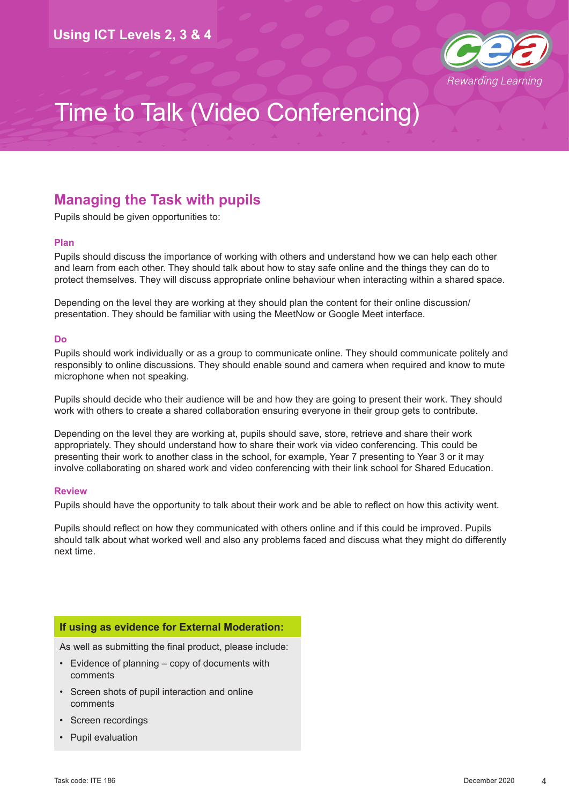

## **Managing the Task with pupils**

Pupils should be given opportunities to:

#### **Plan**

Pupils should discuss the importance of working with others and understand how we can help each other and learn from each other. They should talk about how to stay safe online and the things they can do to protect themselves. They will discuss appropriate online behaviour when interacting within a shared space.

Depending on the level they are working at they should plan the content for their online discussion/ presentation. They should be familiar with using the MeetNow or Google Meet interface.

#### **Do**

Pupils should work individually or as a group to communicate online. They should communicate politely and responsibly to online discussions. They should enable sound and camera when required and know to mute microphone when not speaking.

Pupils should decide who their audience will be and how they are going to present their work. They should work with others to create a shared collaboration ensuring everyone in their group gets to contribute.

Depending on the level they are working at, pupils should save, store, retrieve and share their work appropriately. They should understand how to share their work via video conferencing. This could be presenting their work to another class in the school, for example, Year 7 presenting to Year 3 or it may involve collaborating on shared work and video conferencing with their link school for Shared Education.

#### **Review**

Pupils should have the opportunity to talk about their work and be able to reflect on how this activity went.

Pupils should reflect on how they communicated with others online and if this could be improved. Pupils should talk about what worked well and also any problems faced and discuss what they might do differently next time.

#### **If using as evidence for External Moderation:**

As well as submitting the final product, please include:

- Evidence of planning copy of documents with comments
- Screen shots of pupil interaction and online comments
- Screen recordings
- Pupil evaluation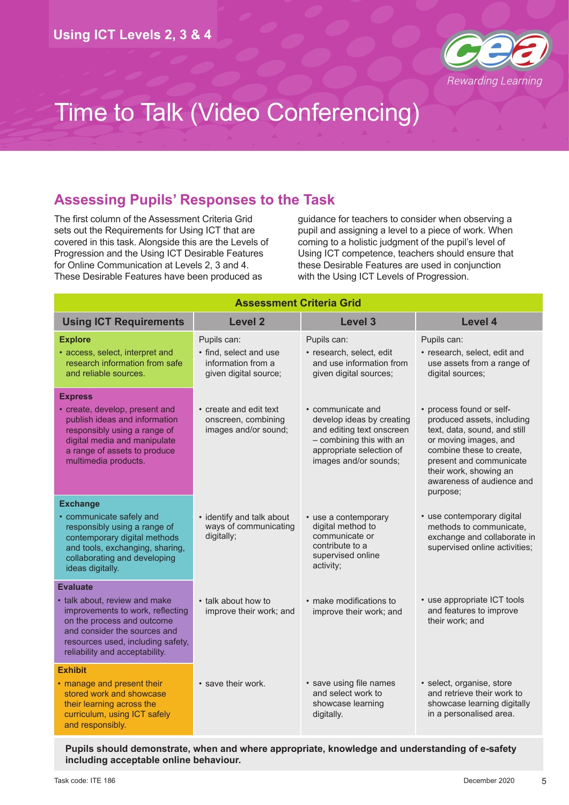

## **Assessing Pupils' Responses to the Task**

The first column of the Assessment Criteria Grid sets out the Requirements for Using ICT that are covered in this task. Alongside this are the Levels of Progression and the Using ICT Desirable Features for Online Communication at Levels 2, 3 and 4. These Desirable Features have been produced as

guidance for teachers to consider when observing a pupil and assigning a level to a piece of work. When coming to a holistic judgment of the pupil's level of Using ICT competence, teachers should ensure that these Desirable Features are used in conjunction with the Using ICT Levels of Progression.

| <b>Assessment Criteria Grid</b>                                                                                                                                                                                           |                                                                                      |                                                                                                                                                              |                                                                                                                                                                                                                                           |  |
|---------------------------------------------------------------------------------------------------------------------------------------------------------------------------------------------------------------------------|--------------------------------------------------------------------------------------|--------------------------------------------------------------------------------------------------------------------------------------------------------------|-------------------------------------------------------------------------------------------------------------------------------------------------------------------------------------------------------------------------------------------|--|
| <b>Using ICT Requirements</b>                                                                                                                                                                                             | <b>Level 2</b>                                                                       | Level 3                                                                                                                                                      | Level 4                                                                                                                                                                                                                                   |  |
| <b>Explore</b><br>• access, select, interpret and<br>research information from safe<br>and reliable sources.                                                                                                              | Pupils can:<br>• find, select and use<br>information from a<br>given digital source; | Pupils can:<br>· research, select, edit<br>and use information from<br>given digital sources;                                                                | Pupils can:<br>· research, select, edit and<br>use assets from a range of<br>digital sources;                                                                                                                                             |  |
| <b>Express</b><br>• create, develop, present and<br>publish ideas and information<br>responsibly using a range of<br>digital media and manipulate<br>a range of assets to produce<br>multimedia products.                 | • create and edit text<br>onscreen, combining<br>images and/or sound;                | • communicate and<br>develop ideas by creating<br>and editing text onscreen<br>- combining this with an<br>appropriate selection of<br>images and/or sounds; | • process found or self-<br>produced assets, including<br>text, data, sound, and still<br>or moving images, and<br>combine these to create,<br>present and communicate<br>their work, showing an<br>awareness of audience and<br>purpose; |  |
| <b>Exchange</b><br>• communicate safely and<br>responsibly using a range of<br>contemporary digital methods<br>and tools, exchanging, sharing,<br>collaborating and developing<br>ideas digitally.                        | • identify and talk about<br>ways of communicating<br>digitally;                     | • use a contemporary<br>digital method to<br>communicate or<br>contribute to a<br>supervised online<br>activity;                                             | • use contemporary digital<br>methods to communicate,<br>exchange and collaborate in<br>supervised online activities;                                                                                                                     |  |
| <b>Evaluate</b><br>• talk about, review and make<br>improvements to work, reflecting<br>on the process and outcome<br>and consider the sources and<br>resources used, including safety,<br>reliability and acceptability. | • talk about how to<br>improve their work; and                                       | • make modifications to<br>improve their work; and                                                                                                           | • use appropriate ICT tools<br>and features to improve<br>their work; and                                                                                                                                                                 |  |
| <b>Exhibit</b><br>• manage and present their<br>stored work and showcase<br>their learning across the<br>curriculum, using ICT safely<br>and responsibly.                                                                 | • save their work.                                                                   | • save using file names<br>and select work to<br>showcase learning<br>digitally.                                                                             | · select, organise, store<br>and retrieve their work to<br>showcase learning digitally<br>in a personalised area.                                                                                                                         |  |

**Pupils should demonstrate, when and where appropriate, knowledge and understanding of e-safety including acceptable online behaviour.**

5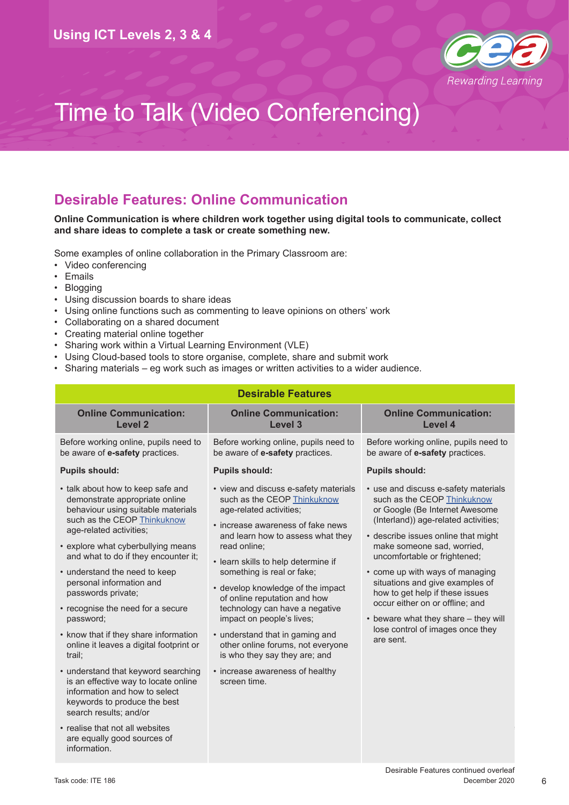

## **Desirable Features: Online Communication**

#### **Online Communication is where children work together using digital tools to communicate, collect and share ideas to complete a task or create something new.**

Some examples of online collaboration in the Primary Classroom are:

- Video conferencing
- Emails
- Blogging
- Using discussion boards to share ideas
- Using online functions such as commenting to leave opinions on others' work
- Collaborating on a shared document
- Creating material online together
- Sharing work within a Virtual Learning Environment (VLE)
- Using Cloud-based tools to store organise, complete, share and submit work
- Sharing materials eg work such as images or written activities to a wider audience.

| <b>Desirable Features</b>                                                                                                                                                                                                                                                                                                                                                                                                                                                                                                                                                                                                                                      |                                                                                                                                                                                                                                                                                                                                                                                                                                                                                                                                                                |                                                                                                                                                                                                                                                                                                                                                                                                                                                                                         |  |  |  |
|----------------------------------------------------------------------------------------------------------------------------------------------------------------------------------------------------------------------------------------------------------------------------------------------------------------------------------------------------------------------------------------------------------------------------------------------------------------------------------------------------------------------------------------------------------------------------------------------------------------------------------------------------------------|----------------------------------------------------------------------------------------------------------------------------------------------------------------------------------------------------------------------------------------------------------------------------------------------------------------------------------------------------------------------------------------------------------------------------------------------------------------------------------------------------------------------------------------------------------------|-----------------------------------------------------------------------------------------------------------------------------------------------------------------------------------------------------------------------------------------------------------------------------------------------------------------------------------------------------------------------------------------------------------------------------------------------------------------------------------------|--|--|--|
| <b>Online Communication:</b><br><b>Level 2</b>                                                                                                                                                                                                                                                                                                                                                                                                                                                                                                                                                                                                                 | <b>Online Communication:</b><br><b>Level 3</b>                                                                                                                                                                                                                                                                                                                                                                                                                                                                                                                 | <b>Online Communication:</b><br>Level 4                                                                                                                                                                                                                                                                                                                                                                                                                                                 |  |  |  |
| Before working online, pupils need to<br>be aware of e-safety practices.                                                                                                                                                                                                                                                                                                                                                                                                                                                                                                                                                                                       | Before working online, pupils need to<br>be aware of e-safety practices.                                                                                                                                                                                                                                                                                                                                                                                                                                                                                       | Before working online, pupils need to<br>be aware of e-safety practices.                                                                                                                                                                                                                                                                                                                                                                                                                |  |  |  |
| <b>Pupils should:</b>                                                                                                                                                                                                                                                                                                                                                                                                                                                                                                                                                                                                                                          | <b>Pupils should:</b>                                                                                                                                                                                                                                                                                                                                                                                                                                                                                                                                          | <b>Pupils should:</b>                                                                                                                                                                                                                                                                                                                                                                                                                                                                   |  |  |  |
| • talk about how to keep safe and<br>demonstrate appropriate online<br>behaviour using suitable materials<br>such as the CEOP Thinkuknow<br>age-related activities;<br>• explore what cyberbullying means<br>and what to do if they encounter it;<br>• understand the need to keep<br>personal information and<br>passwords private;<br>• recognise the need for a secure<br>password;<br>• know that if they share information<br>online it leaves a digital footprint or<br>trail;<br>• understand that keyword searching<br>is an effective way to locate online<br>information and how to select<br>keywords to produce the best<br>search results; and/or | • view and discuss e-safety materials<br>such as the CEOP Thinkuknow<br>age-related activities;<br>• increase awareness of fake news<br>and learn how to assess what they<br>read online:<br>• learn skills to help determine if<br>something is real or fake;<br>• develop knowledge of the impact<br>of online reputation and how<br>technology can have a negative<br>impact on people's lives;<br>• understand that in gaming and<br>other online forums, not everyone<br>is who they say they are; and<br>• increase awareness of healthy<br>screen time. | • use and discuss e-safety materials<br>such as the CEOP Thinkuknow<br>or Google (Be Internet Awesome<br>(Interland)) age-related activities;<br>• describe issues online that might<br>make someone sad, worried,<br>uncomfortable or frightened;<br>• come up with ways of managing<br>situations and give examples of<br>how to get help if these issues<br>occur either on or offline; and<br>• beware what they share - they will<br>lose control of images once they<br>are sent. |  |  |  |
| • realise that not all websites<br>are equally good sources of<br>information.                                                                                                                                                                                                                                                                                                                                                                                                                                                                                                                                                                                 |                                                                                                                                                                                                                                                                                                                                                                                                                                                                                                                                                                |                                                                                                                                                                                                                                                                                                                                                                                                                                                                                         |  |  |  |

6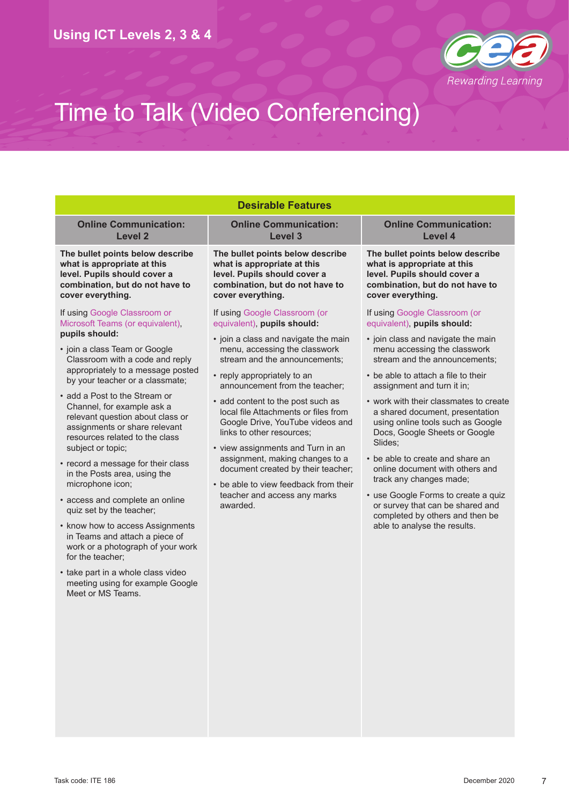

| <b>Desirable Features</b>                                                                                                                                                               |                                                                                                                                                                                                                                                                                                                                                                                                                                                                                                                          |                                                                                                                                                            |  |  |  |
|-----------------------------------------------------------------------------------------------------------------------------------------------------------------------------------------|--------------------------------------------------------------------------------------------------------------------------------------------------------------------------------------------------------------------------------------------------------------------------------------------------------------------------------------------------------------------------------------------------------------------------------------------------------------------------------------------------------------------------|------------------------------------------------------------------------------------------------------------------------------------------------------------|--|--|--|
| <b>Online Communication:</b><br>Level 2                                                                                                                                                 | <b>Online Communication:</b><br>Level 3                                                                                                                                                                                                                                                                                                                                                                                                                                                                                  | <b>Online Communication:</b><br>Level 4                                                                                                                    |  |  |  |
| The bullet points below describe<br>what is appropriate at this<br>level. Pupils should cover a<br>combination, but do not have to<br>cover everything.                                 | The bullet points below describe<br>what is appropriate at this<br>level. Pupils should cover a<br>combination, but do not have to<br>cover everything.                                                                                                                                                                                                                                                                                                                                                                  | The bullet points below describe<br>what is appropriate at this<br>level. Pupils should cover a<br>combination, but do not have to<br>cover everything.    |  |  |  |
| If using Google Classroom or<br>Microsoft Teams (or equivalent),                                                                                                                        | If using Google Classroom (or<br>equivalent), pupils should:                                                                                                                                                                                                                                                                                                                                                                                                                                                             | If using Google Classroom (or<br>equivalent), pupils should:                                                                                               |  |  |  |
| pupils should:<br>• join a class Team or Google<br>Classroom with a code and reply                                                                                                      | • join a class and navigate the main<br>menu, accessing the classwork<br>stream and the announcements;<br>• reply appropriately to an<br>announcement from the teacher;<br>• add content to the post such as<br>local file Attachments or files from<br>Google Drive, YouTube videos and<br>links to other resources;<br>• view assignments and Turn in an<br>assignment, making changes to a<br>document created by their teacher;<br>• be able to view feedback from their<br>teacher and access any marks<br>awarded. | • join class and navigate the main<br>menu accessing the classwork<br>stream and the announcements;                                                        |  |  |  |
| appropriately to a message posted<br>by your teacher or a classmate;                                                                                                                    |                                                                                                                                                                                                                                                                                                                                                                                                                                                                                                                          | • be able to attach a file to their<br>assignment and turn it in;                                                                                          |  |  |  |
| • add a Post to the Stream or<br>Channel, for example ask a<br>relevant question about class or<br>assignments or share relevant<br>resources related to the class<br>subject or topic; |                                                                                                                                                                                                                                                                                                                                                                                                                                                                                                                          | • work with their classmates to create<br>a shared document, presentation<br>using online tools such as Google<br>Docs, Google Sheets or Google<br>Slides; |  |  |  |
| • record a message for their class<br>in the Posts area, using the<br>microphone icon;                                                                                                  |                                                                                                                                                                                                                                                                                                                                                                                                                                                                                                                          | • be able to create and share an<br>online document with others and<br>track any changes made;                                                             |  |  |  |
| • access and complete an online<br>quiz set by the teacher;                                                                                                                             |                                                                                                                                                                                                                                                                                                                                                                                                                                                                                                                          | • use Google Forms to create a quiz<br>or survey that can be shared and<br>completed by others and then be                                                 |  |  |  |
| • know how to access Assignments<br>in Teams and attach a piece of<br>work or a photograph of your work<br>for the teacher:                                                             |                                                                                                                                                                                                                                                                                                                                                                                                                                                                                                                          | able to analyse the results.                                                                                                                               |  |  |  |
| • take part in a whole class video<br>meeting using for example Google<br>Meet or MS Teams.                                                                                             |                                                                                                                                                                                                                                                                                                                                                                                                                                                                                                                          |                                                                                                                                                            |  |  |  |
|                                                                                                                                                                                         |                                                                                                                                                                                                                                                                                                                                                                                                                                                                                                                          |                                                                                                                                                            |  |  |  |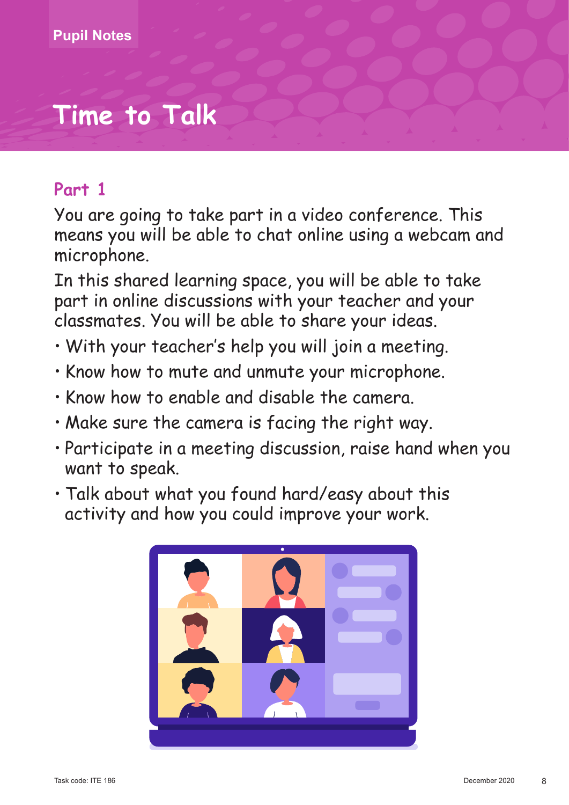# **Time to Talk**

## **Part 1**

You are going to take part in a video conference. This means you will be able to chat online using a webcam and microphone.

In this shared learning space, you will be able to take part in online discussions with your teacher and your classmates. You will be able to share your ideas.

- • With your teacher's help you will join a meeting.
- Know how to mute and unmute your microphone.
- Know how to enable and disable the camera.
- Make sure the camera is facing the right way.
- Participate in a meeting discussion, raise hand when you want to speak.
- Talk about what you found hard/easy about this activity and how you could improve your work.

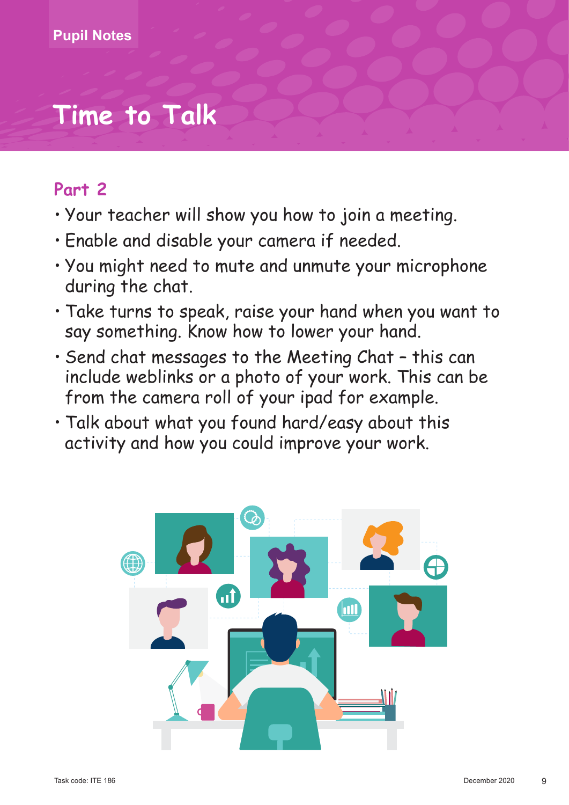# **Time to Talk**

## **Part 2**

- • Your teacher will show you how to join a meeting.
- Enable and disable your camera if needed.
- You might need to mute and unmute your microphone during the chat.
- Take turns to speak, raise your hand when you want to say something. Know how to lower your hand.
- Send chat messages to the Meeting Chat this can include weblinks or a photo of your work. This can be from the camera roll of your ipad for example.
- Talk about what you found hard/easy about this activity and how you could improve your work.